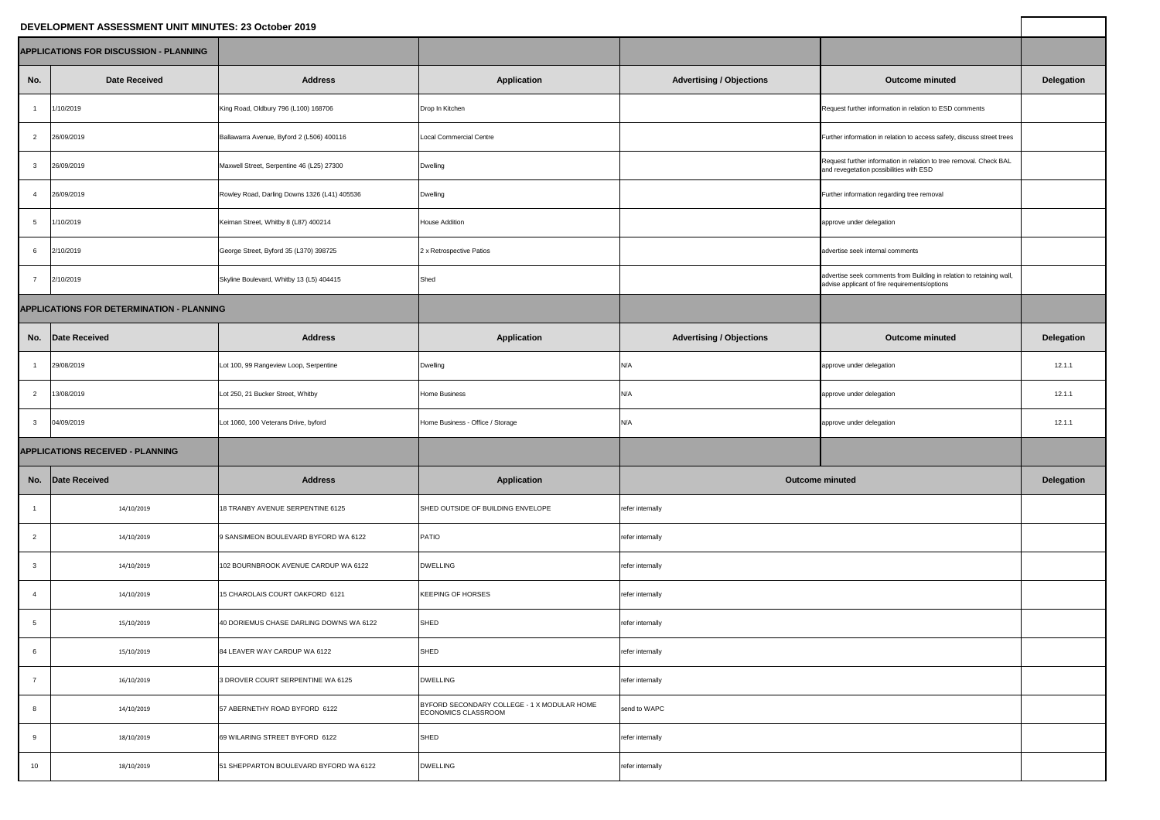## **DEVELOPMENT ASSESSMENT UNIT MINUTES: 23 October 2019**

| DEVELOPMENT ASSESSMENT UNIT MINUTES: 23 October 2019 |                      |                                              |                                                                    |                                 |                                                                                                                       |                   |
|------------------------------------------------------|----------------------|----------------------------------------------|--------------------------------------------------------------------|---------------------------------|-----------------------------------------------------------------------------------------------------------------------|-------------------|
| <b>APPLICATIONS FOR DISCUSSION - PLANNING</b>        |                      |                                              |                                                                    |                                 |                                                                                                                       |                   |
| No.                                                  | <b>Date Received</b> | <b>Address</b>                               | <b>Application</b>                                                 | <b>Advertising / Objections</b> | <b>Outcome minuted</b>                                                                                                | <b>Delegation</b> |
|                                                      | 1/10/2019            | King Road, Oldbury 796 (L100) 168706         | Drop In Kitchen                                                    |                                 | Request further information in relation to ESD comments                                                               |                   |
| $\overline{2}$                                       | 26/09/2019           | Ballawarra Avenue, Byford 2 (L506) 400116    | <b>Local Commercial Centre</b>                                     |                                 | Further information in relation to access safety, discuss street trees                                                |                   |
| 3                                                    | 26/09/2019           | Maxwell Street, Serpentine 46 (L25) 27300    | <b>Dwelling</b>                                                    |                                 | Request further information in relation to tree removal. Check BAL<br>and revegetation possibilities with ESD         |                   |
|                                                      | 26/09/2019           | Rowley Road, Darling Downs 1326 (L41) 405536 | <b>Dwelling</b>                                                    |                                 | Further information regarding tree removal                                                                            |                   |
|                                                      | 1/10/2019            | Keirnan Street, Whitby 8 (L87) 400214        | <b>House Addition</b>                                              |                                 | approve under delegation                                                                                              |                   |
| 6                                                    | 2/10/2019            | George Street, Byford 35 (L370) 398725       | 2 x Retrospective Patios                                           |                                 | advertise seek internal comments                                                                                      |                   |
|                                                      | 2/10/2019            | Skyline Boulevard, Whitby 13 (L5) 404415     | Shed                                                               |                                 | advertise seek comments from Building in relation to retaining wall,<br>advise applicant of fire requirements/options |                   |
| <b>APPLICATIONS FOR DETERMINATION - PLANNING</b>     |                      |                                              |                                                                    |                                 |                                                                                                                       |                   |
| No.                                                  | Date Received        | <b>Address</b>                               | <b>Application</b>                                                 | <b>Advertising / Objections</b> | <b>Outcome minuted</b>                                                                                                | <b>Delegation</b> |
|                                                      | 29/08/2019           | Lot 100, 99 Rangeview Loop, Serpentine       | <b>Dwelling</b>                                                    | N/A                             | approve under delegation                                                                                              | 12.1.1            |
| $\overline{2}$                                       | 13/08/2019           | Lot 250, 21 Bucker Street, Whitby            | <b>Home Business</b>                                               | N/A                             | approve under delegation                                                                                              | 12.1.1            |
| 3                                                    | 04/09/2019           | Lot 1060, 100 Veterans Drive, byford         | Home Business - Office / Storage                                   | N/A                             | approve under delegation                                                                                              | 12.1.1            |
| <b>APPLICATIONS RECEIVED - PLANNING</b>              |                      |                                              |                                                                    |                                 |                                                                                                                       |                   |
|                                                      | No. Date Received    | <b>Address</b>                               | <b>Application</b>                                                 | <b>Outcome minuted</b>          |                                                                                                                       | <b>Delegation</b> |
|                                                      | 14/10/2019           | 18 TRANBY AVENUE SERPENTINE 6125             | SHED OUTSIDE OF BUILDING ENVELOPE                                  | refer internally                |                                                                                                                       |                   |
| $\overline{2}$                                       | 14/10/2019           | 9 SANSIMEON BOULEVARD BYFORD WA 6122         | <b>PATIO</b>                                                       | refer internally                |                                                                                                                       |                   |
| -3                                                   | 14/10/2019           | 102 BOURNBROOK AVENUE CARDUP WA 6122         | <b>DWELLING</b>                                                    | refer internally                |                                                                                                                       |                   |
|                                                      | 14/10/2019           | 15 CHAROLAIS COURT OAKFORD 6121              | KEEPING OF HORSES                                                  | refer internally                |                                                                                                                       |                   |
|                                                      | 15/10/2019           | 40 DORIEMUS CHASE DARLING DOWNS WA 6122      | SHED                                                               | refer internally                |                                                                                                                       |                   |
| 6                                                    | 15/10/2019           | 84 LEAVER WAY CARDUP WA 6122                 | SHED                                                               | refer internally                |                                                                                                                       |                   |
|                                                      | 16/10/2019           | 3 DROVER COURT SERPENTINE WA 6125            | <b>DWELLING</b>                                                    | refer internally                |                                                                                                                       |                   |
| 8                                                    | 14/10/2019           | 57 ABERNETHY ROAD BYFORD 6122                | BYFORD SECONDARY COLLEGE - 1 X MODULAR HOME<br>ECONOMICS CLASSROOM | send to WAPC                    |                                                                                                                       |                   |
| Q                                                    | 18/10/2019           | 69 WILARING STREET BYFORD 6122               | SHED                                                               | refer internally                |                                                                                                                       |                   |
| 10 <sup>°</sup>                                      | 18/10/2019           | 51 SHEPPARTON BOULEVARD BYFORD WA 6122       | <b>DWELLING</b>                                                    | refer internally                |                                                                                                                       |                   |
|                                                      |                      |                                              |                                                                    |                                 |                                                                                                                       |                   |

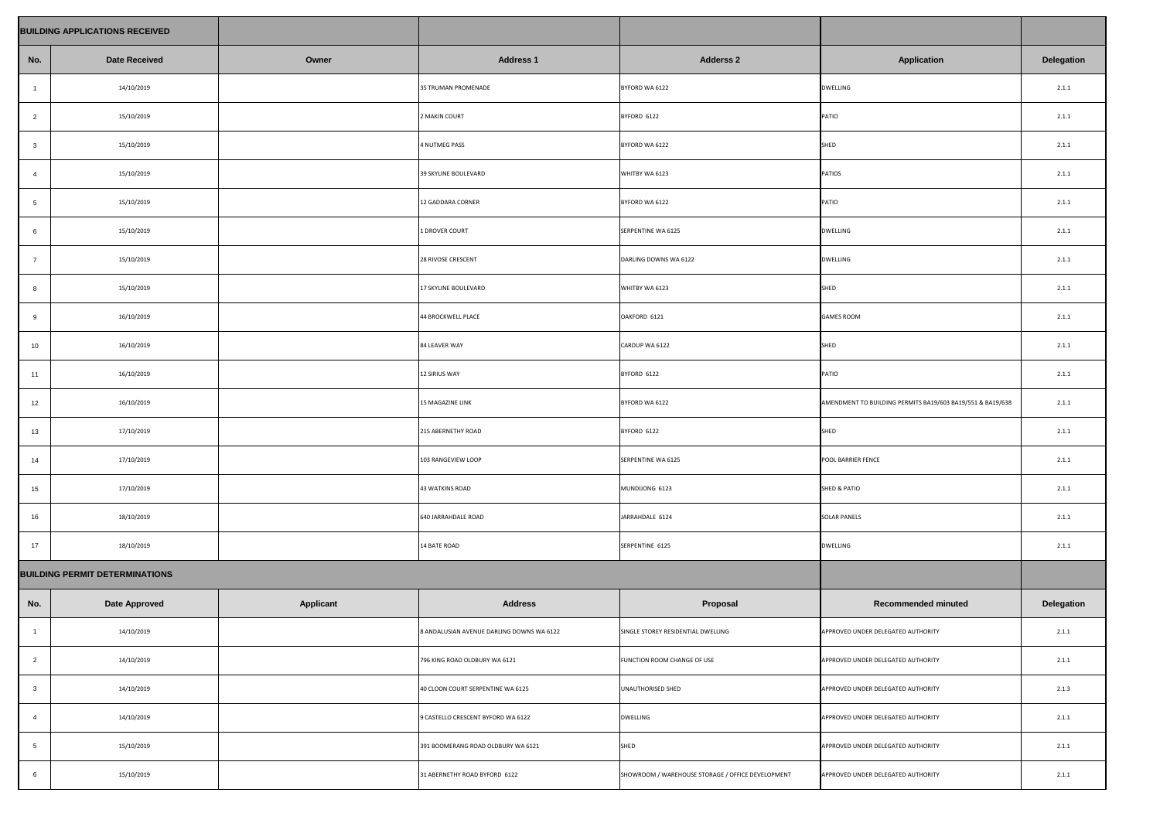|                                       | <b>BUILDING APPLICATIONS RECEIVED</b> |                  |                                           |                                                   |                                                            |                   |
|---------------------------------------|---------------------------------------|------------------|-------------------------------------------|---------------------------------------------------|------------------------------------------------------------|-------------------|
| No.                                   | <b>Date Received</b>                  | Owner            | <b>Address 1</b>                          | <b>Adderss 2</b>                                  | <b>Application</b>                                         | <b>Delegation</b> |
|                                       | 14/10/2019                            |                  | 35 TRUMAN PROMENADE                       | BYFORD WA 6122                                    | <b>DWELLING</b>                                            | 2.1.1             |
| $\overline{2}$                        | 15/10/2019                            |                  | 2 MAKIN COURT                             | BYFORD 6122                                       | <b>PATIO</b>                                               | 2.1.1             |
| $\mathbf{3}$                          | 15/10/2019                            |                  | 4 NUTMEG PASS                             | BYFORD WA 6122                                    | <b>SHED</b>                                                | 2.1.1             |
| $\overline{4}$                        | 15/10/2019                            |                  | 39 SKYLINE BOULEVARD                      | WHITBY WA 6123                                    | PATIOS                                                     | 2.1.1             |
| 5                                     | 15/10/2019                            |                  | 12 GADDARA CORNER                         | BYFORD WA 6122                                    | <b>PATIO</b>                                               | 2.1.1             |
| 6                                     | 15/10/2019                            |                  | 1 DROVER COURT                            | SERPENTINE WA 6125                                | <b>DWELLING</b>                                            | 2.1.1             |
| $\overline{7}$                        | 15/10/2019                            |                  | 28 RIVOSE CRESCENT                        | DARLING DOWNS WA 6122                             | <b>DWELLING</b>                                            | 2.1.1             |
| 8                                     | 15/10/2019                            |                  | 17 SKYLINE BOULEVARD                      | WHITBY WA 6123                                    | SHED                                                       | 2.1.1             |
| 9                                     | 16/10/2019                            |                  | 44 BROCKWELL PLACE                        | OAKFORD 6121                                      | <b>GAMES ROOM</b>                                          | 2.1.1             |
| 10                                    | 16/10/2019                            |                  | 84 LEAVER WAY                             | CARDUP WA 6122                                    | SHED                                                       | 2.1.1             |
| 11                                    | 16/10/2019                            |                  | <b>12 SIRIUS WAY</b>                      | BYFORD 6122                                       | PATIO                                                      | 2.1.1             |
| 12                                    | 16/10/2019                            |                  | 15 MAGAZINE LINK                          | BYFORD WA 6122                                    | AMENDMENT TO BUILDING PERMITS BA19/603 BA19/551 & BA19/638 | 2.1.1             |
| 13                                    | 17/10/2019                            |                  | 215 ABERNETHY ROAD                        | BYFORD 6122                                       | SHED                                                       | 2.1.1             |
| 14                                    | 17/10/2019                            |                  | 103 RANGEVIEW LOOP                        | SERPENTINE WA 6125                                | POOL BARRIER FENCE                                         | 2.1.1             |
| 15                                    | 17/10/2019                            |                  | <b>43 WATKINS ROAD</b>                    | MUNDIJONG 6123                                    | <b>SHED &amp; PATIO</b>                                    | 2.1.1             |
| 16                                    | 18/10/2019                            |                  | 640 JARRAHDALE ROAD                       | JARRAHDALE 6124                                   | <b>SOLAR PANELS</b>                                        | 2.1.1             |
| 17                                    | 18/10/2019                            |                  | 14 BATE ROAD                              | SERPENTINE 6125                                   | <b>DWELLING</b>                                            | 2.1.1             |
| <b>BUILDING PERMIT DETERMINATIONS</b> |                                       |                  |                                           |                                                   |                                                            |                   |
| No.                                   | <b>Date Approved</b>                  | <b>Applicant</b> | <b>Address</b>                            | Proposal                                          | <b>Recommended minuted</b>                                 | <b>Delegation</b> |
|                                       | 14/10/2019                            |                  | 8 ANDALUSIAN AVENUE DARLING DOWNS WA 6122 | SINGLE STOREY RESIDENTIAL DWELLING                | APPROVED UNDER DELEGATED AUTHORITY                         | 2.1.1             |
| $\overline{2}$                        | 14/10/2019                            |                  | 796 KING ROAD OLDBURY WA 6121             | FUNCTION ROOM CHANGE OF USE                       | APPROVED UNDER DELEGATED AUTHORITY                         | 2.1.1             |
| $\mathbf{3}$                          | 14/10/2019                            |                  | 40 CLOON COURT SERPENTINE WA 6125         | UNAUTHORISED SHED                                 | APPROVED UNDER DELEGATED AUTHORITY                         | 2.1.3             |
| $\overline{4}$                        | 14/10/2019                            |                  | 9 CASTELLO CRESCENT BYFORD WA 6122        | <b>DWELLING</b>                                   | APPROVED UNDER DELEGATED AUTHORITY                         | 2.1.1             |
| 5                                     | 15/10/2019                            |                  | 391 BOOMERANG ROAD OLDBURY WA 6121        | SHED                                              | APPROVED UNDER DELEGATED AUTHORITY                         | 2.1.1             |
| 6                                     | 15/10/2019                            |                  | 31 ABERNETHY ROAD BYFORD 6122             | SHOWROOM / WAREHOUSE STORAGE / OFFICE DEVELOPMENT | APPROVED UNDER DELEGATED AUTHORITY                         | 2.1.1             |